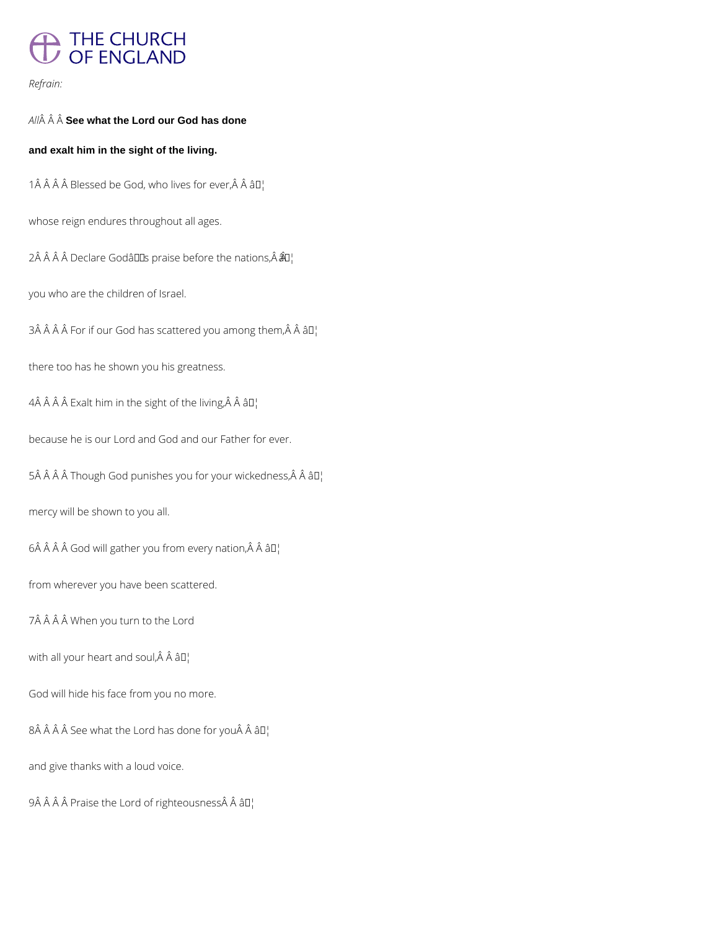## THE CHURCH<br>OF ENGLAND

## *Refrain:*

*All* **See what the Lord our God has done**

## **and exalt him in the sight of the living.**

1  $\hat{A}$   $\hat{A}$   $\hat{A}$   $\hat{B}$  lessed be God, who lives for ever,  $\hat{A}$   $\hat{A}$   $\hat{B}$   $\Gamma$ 

whose reign endures throughout all ages.

 $2\hat{A}$   $\hat{A}$   $\hat{A}$   $\hat{B}$  Declare Godâlls praise before the nations, $\hat{A}$  $\hat{B}$ l

you who are the children of Israel.

 $3\hat{A}$   $\hat{A}$   $\hat{A}$   $\hat{B}$  For if our God has scattered you among them, $\hat{A}$   $\hat{A}$   $\hat{B}$  $I$ <sub>1</sub>

there too has he shown you his greatness.

4Â Â Â Â Exalt him in the sight of the living, Â Â â D¦

because he is our Lord and God and our Father for ever.

5Â Â Â Â Though God punishes you for your wickedness, Â Â â D¦

mercy will be shown to you all.

 $6\hat{A}$   $\hat{A}$   $\hat{A}$   $\hat{G}$  od will gather you from every nation, $\hat{A}$   $\hat{A}$   $\hat{a}$   $\Box$ 

from wherever you have been scattered.

7Â Â Â Â When you turn to the Lord

with all your heart and soul,  $\hat{A}$   $\hat{A}$   $\hat{a}$  $\Gamma$ 

God will hide his face from you no more.

 $8\hat{A}$   $\hat{A}$   $\hat{A}$  See what the Lord has done for you $\hat{A}$   $\hat{A}$   $\hat{a}$   $I$ <sup>1</sup>

and give thanks with a loud voice.

 $9\hat{A}$   $\hat{A}$   $\hat{A}$   $\hat{B}$  Praise the Lord of righteousness $\hat{A}$   $\hat{A}$   $\hat{a}$   $\Box$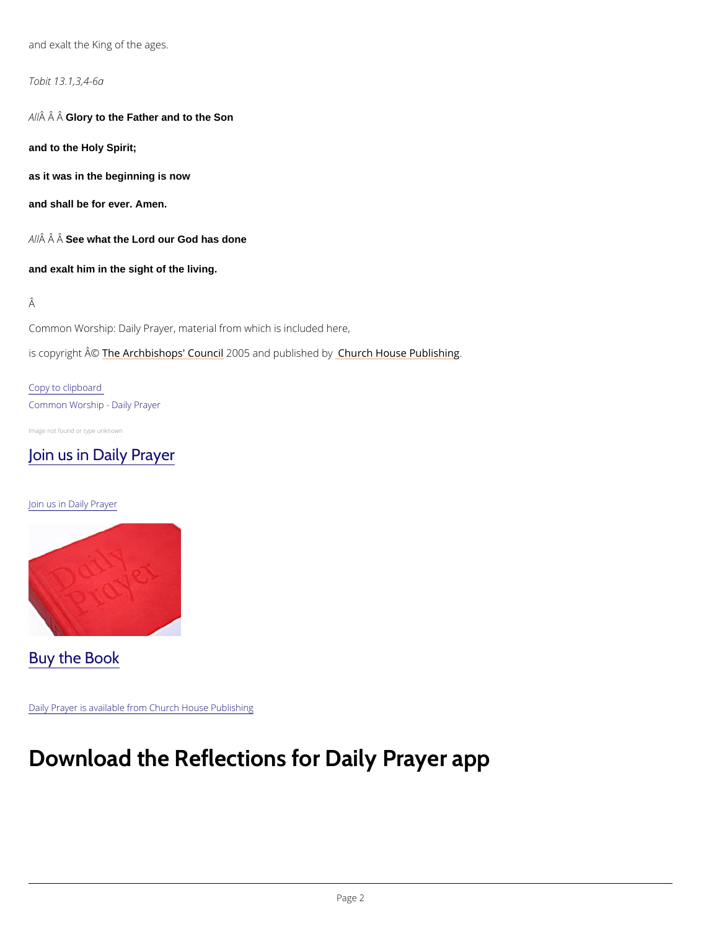and exalt the King of the ages.

Tobit 13.1,3,4-6a

A  $\hat{A}$   $\hat{A}$  G $\hat{A}$ ory to the Father and to the Son

and to the Holy Spirit;

as it was in the beginning is now

and shall be for ever. Amen.

 $A$   $\hat{A}$   $\hat{A}$   $S$  $\hat{B}$  e what the Lord our God has done

and exalt him in the sight of the living.

Â

Common Worship: Daily Prayer, material from which is included here,

is copyrighth  $\hat{\mathbb{A}}$  @Archbishops' 2CO oO u5 naid publish by House Publishing

Copy to clipboard Common Worship - Daily Prayer

Image not found or type unknown

[Join us in Daily Prayer](https://www.churchofengland.org/prayer-and-worship/join-us-in-daily-prayer)

Join us in Daily Prayer

Buy the Book

## Download the Reflections for Daily Prayer